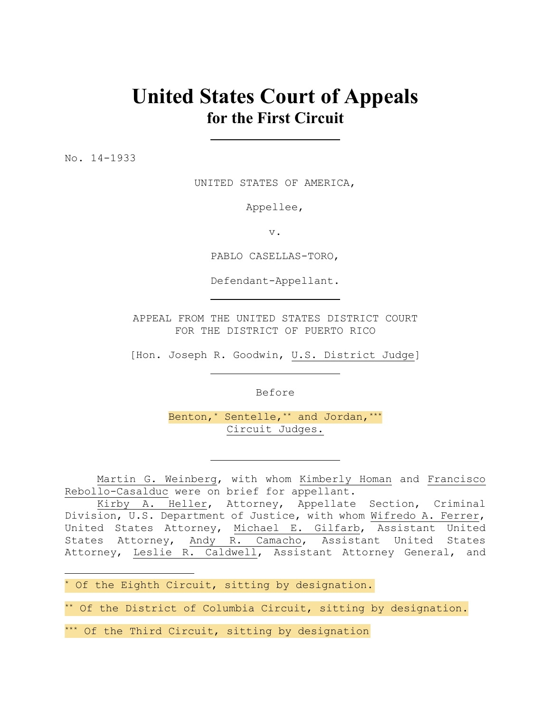# **United States Court of Appeals for the First Circuit**

No. 14-1933

i

UNITED STATES OF AMERICA,

Appellee,

v.

PABLO CASELLAS-TORO,

Defendant-Appellant.

APPEAL FROM THE UNITED STATES DISTRICT COURT FOR THE DISTRICT OF PUERTO RICO

[Hon. Joseph R. Goodwin, U.S. District Judge]

Before

Benton,\* Sentelle,\*\* and Jordan,\*\*\* Circuit Judges.

Martin G. Weinberg, with whom Kimberly Homan and Francisco Rebollo-Casalduc were on brief for appellant.

Kirby A. Heller, Attorney, Appellate Section, Criminal Division, U.S. Department of Justice, with whom Wifredo A. Ferrer, United States Attorney, Michael E. Gilfarb, Assistant United States Attorney, Andy R. Camacho, Assistant United States Attorney, Leslie R. Caldwell, Assistant Attorney General, and

\* Of the Eighth Circuit, sitting by designation.

\*\* Of the District of Columbia Circuit, sitting by designation.

\*\*\* Of the Third Circuit, sitting by designation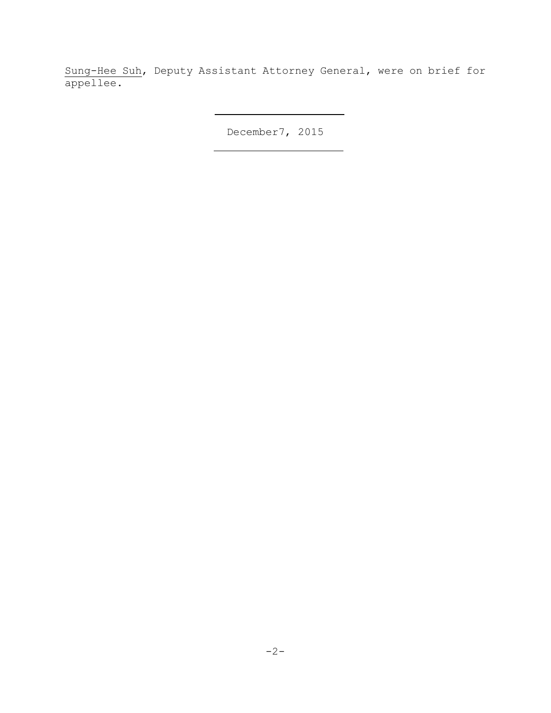Sung-Hee Suh, Deputy Assistant Attorney General, were on brief for appellee.

December7, 2015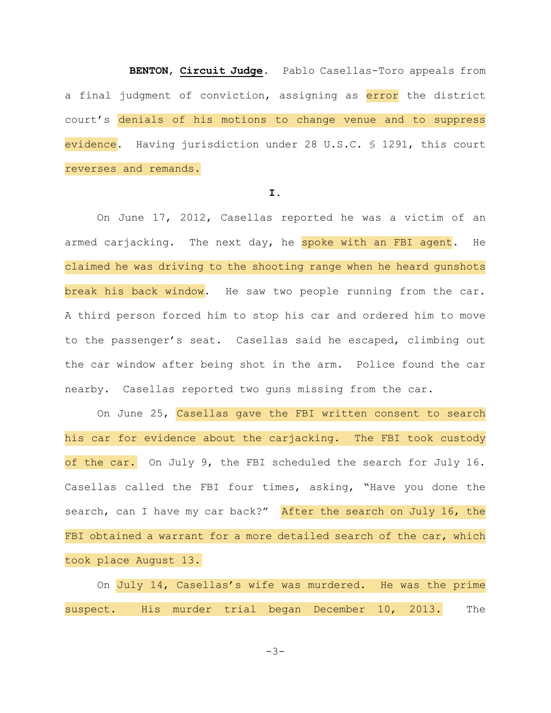**BENTON**, **Circuit Judge**. Pablo Casellas-Toro appeals from a final judgment of conviction, assigning as error the district court's denials of his motions to change venue and to suppress evidence. Having jurisdiction under 28 U.S.C. § 1291, this court reverses and remands.

## **I.**

 On June 17, 2012, Casellas reported he was a victim of an armed carjacking. The next day, he spoke with an FBI agent. He claimed he was driving to the shooting range when he heard gunshots break his back window. He saw two people running from the car. A third person forced him to stop his car and ordered him to move to the passenger's seat. Casellas said he escaped, climbing out the car window after being shot in the arm. Police found the car nearby. Casellas reported two guns missing from the car.

 On June 25, Casellas gave the FBI written consent to search his car for evidence about the carjacking. The FBI took custody of the car. On July 9, the FBI scheduled the search for July 16. Casellas called the FBI four times, asking, "Have you done the search, can I have my car back?" After the search on July 16, the FBI obtained a warrant for a more detailed search of the car, which took place August 13.

 On July 14, Casellas's wife was murdered. He was the prime suspect. His murder trial began December 10, 2013. The

 $-3-$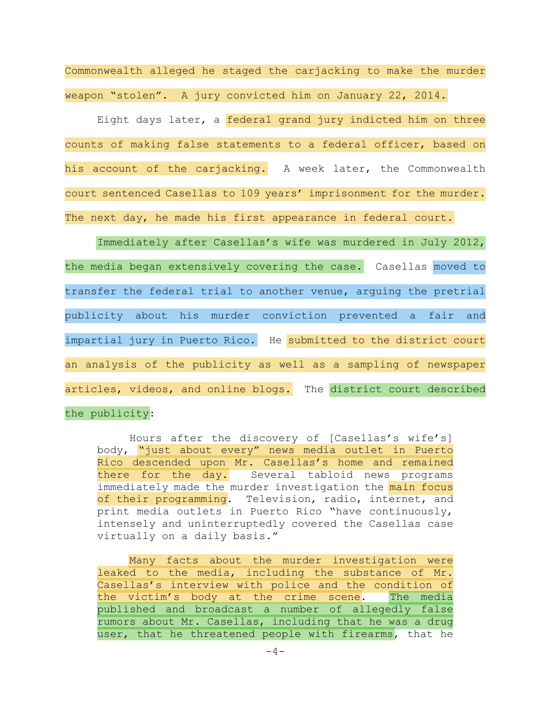Commonwealth alleged he staged the carjacking to make the murder weapon "stolen". A jury convicted him on January 22, 2014.

Eight days later, a federal grand jury indicted him on three counts of making false statements to a federal officer, based on his account of the carjacking. A week later, the Commonwealth court sentenced Casellas to 109 years' imprisonment for the murder. The next day, he made his first appearance in federal court.

 Immediately after Casellas's wife was murdered in July 2012, the media began extensively covering the case. Casellas moved to transfer the federal trial to another venue, arguing the pretrial publicity about his murder conviction prevented a fair and impartial jury in Puerto Rico. He submitted to the district court an analysis of the publicity as well as a sampling of newspaper articles, videos, and online blogs. The district court described the publicity:

 Hours after the discovery of [Casellas's wife's] body, "just about every" news media outlet in Puerto Rico descended upon Mr. Casellas's home and remained there for the day. Several tabloid news programs immediately made the murder investigation the main focus of their programming. Television, radio, internet, and print media outlets in Puerto Rico "have continuously, intensely and uninterruptedly covered the Casellas case virtually on a daily basis."

 Many facts about the murder investigation were leaked to the media, including the substance of Mr. Casellas's interview with police and the condition of the victim's body at the crime scene. The media published and broadcast a number of allegedly false rumors about Mr. Casellas, including that he was a drug user, that he threatened people with firearms, that he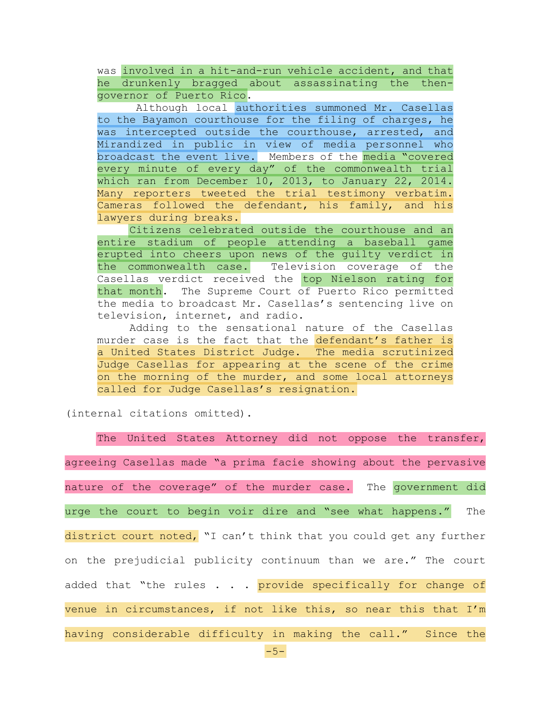was involved in a hit-and-run vehicle accident, and that he drunkenly bragged about assassinating the thengovernor of Puerto Rico.

 Although local authorities summoned Mr. Casellas to the Bayamon courthouse for the filing of charges, he was intercepted outside the courthouse, arrested, and Mirandized in public in view of media personnel who broadcast the event live. Members of the media "covered every minute of every day" of the commonwealth trial which ran from December 10, 2013, to January 22, 2014. Many reporters tweeted the trial testimony verbatim. Cameras followed the defendant, his family, and his lawyers during breaks.

 Citizens celebrated outside the courthouse and an entire stadium of people attending a baseball game erupted into cheers upon news of the guilty verdict in the commonwealth case. Television coverage of the Casellas verdict received the top Nielson rating for that month. The Supreme Court of Puerto Rico permitted the media to broadcast Mr. Casellas's sentencing live on television, internet, and radio.

 Adding to the sensational nature of the Casellas murder case is the fact that the defendant's father is a United States District Judge. The media scrutinized Judge Casellas for appearing at the scene of the crime on the morning of the murder, and some local attorneys called for Judge Casellas's resignation.

(internal citations omitted).

 The United States Attorney did not oppose the transfer, agreeing Casellas made "a prima facie showing about the pervasive nature of the coverage" of the murder case. The government did urge the court to begin voir dire and "see what happens." The district court noted, "I can't think that you could get any further on the prejudicial publicity continuum than we are." The court added that "the rules . . . provide specifically for change of venue in circumstances, if not like this, so near this that I'm having considerable difficulty in making the call." Since the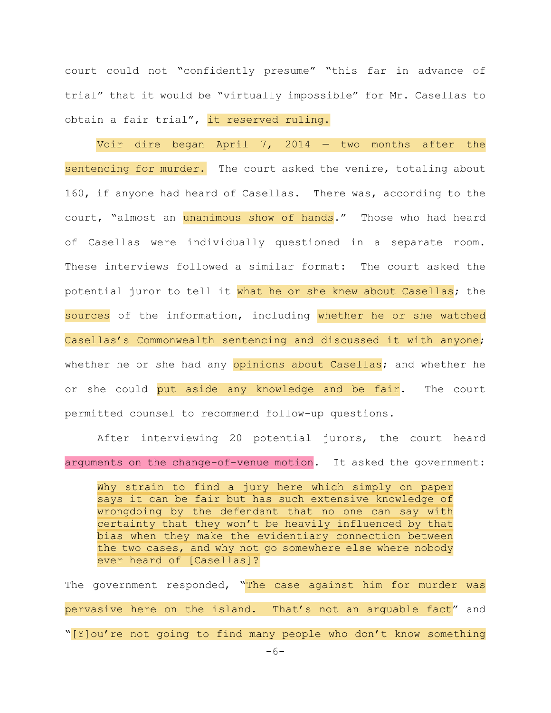court could not "confidently presume" "this far in advance of trial" that it would be "virtually impossible" for Mr. Casellas to obtain a fair trial", it reserved ruling.

Voir dire began April 7, 2014  $-$  two months after the sentencing for murder. The court asked the venire, totaling about 160, if anyone had heard of Casellas. There was, according to the court, "almost an unanimous show of hands." Those who had heard of Casellas were individually questioned in a separate room. These interviews followed a similar format: The court asked the potential juror to tell it what he or she knew about Casellas; the sources of the information, including whether he or she watched Casellas's Commonwealth sentencing and discussed it with anyone; whether he or she had any opinions about Casellas; and whether he or she could put aside any knowledge and be fair. The court permitted counsel to recommend follow-up questions.

After interviewing 20 potential jurors, the court heard arguments on the change-of-venue motion. It asked the government:

Why strain to find a jury here which simply on paper says it can be fair but has such extensive knowledge of wrongdoing by the defendant that no one can say with certainty that they won't be heavily influenced by that bias when they make the evidentiary connection between the two cases, and why not go somewhere else where nobody ever heard of [Casellas]?

The government responded, "The case against him for murder was pervasive here on the island. That's not an arquable fact" and "[Y]ou're not going to find many people who don't know something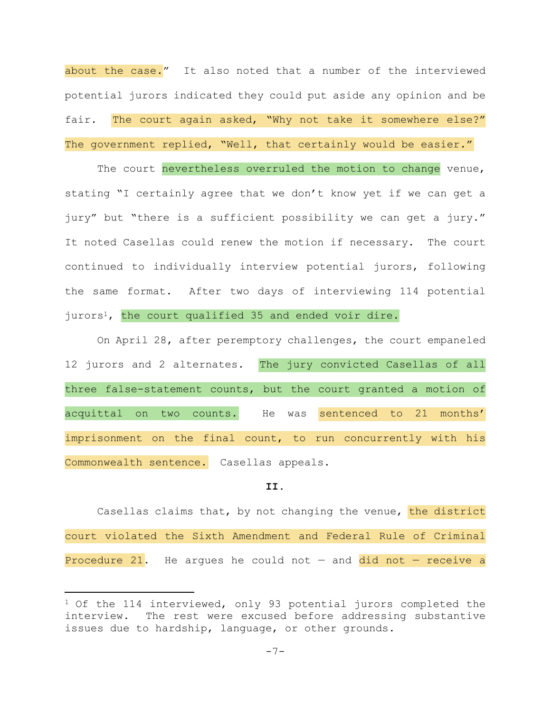about the case." It also noted that a number of the interviewed potential jurors indicated they could put aside any opinion and be fair. The court again asked, "Why not take it somewhere else?" The government replied, "Well, that certainly would be easier."

The court nevertheless overruled the motion to change venue, stating "I certainly agree that we don't know yet if we can get a jury" but "there is a sufficient possibility we can get a jury." It noted Casellas could renew the motion if necessary. The court continued to individually interview potential jurors, following the same format. After two days of interviewing 114 potential jurors<sup>1</sup>, the court qualified 35 and ended voir dire.

 On April 28, after peremptory challenges, the court empaneled 12 jurors and 2 alternates. The jury convicted Casellas of all three false-statement counts, but the court granted a motion of acquittal on two counts. He was sentenced to 21 months' imprisonment on the final count, to run concurrently with his Commonwealth sentence. Casellas appeals.

#### **II.**

Casellas claims that, by not changing the venue, the district court violated the Sixth Amendment and Federal Rule of Criminal Procedure 21. He argues he could not  $-$  and did not  $-$  receive a

i<br>Li

<sup>&</sup>lt;sup>1</sup> Of the 114 interviewed, only 93 potential jurors completed the interview. The rest were excused before addressing substantive issues due to hardship, language, or other grounds.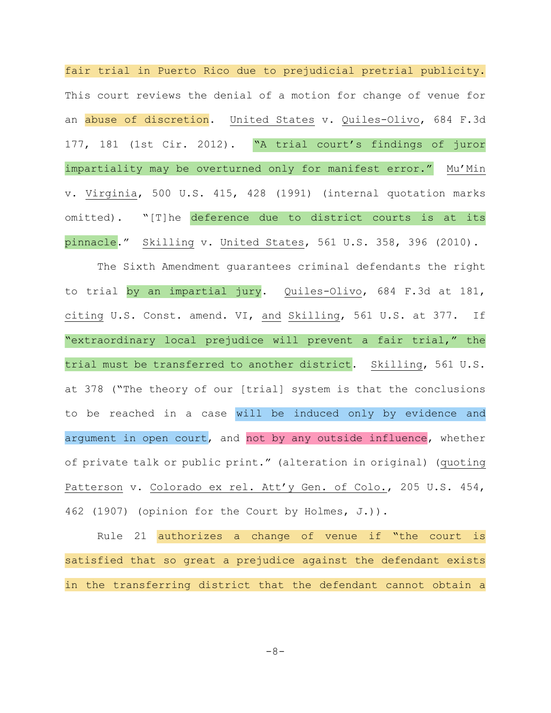fair trial in Puerto Rico due to prejudicial pretrial publicity. This court reviews the denial of a motion for change of venue for an abuse of discretion. United States v. Quiles-Olivo, 684 F.3d 177, 181 (1st Cir. 2012). "A trial court's findings of juror impartiality may be overturned only for manifest error." Mu'Min v. Virginia, 500 U.S. 415, 428 (1991) (internal quotation marks omitted). "[T]he deference due to district courts is at its pinnacle." Skilling v. United States, 561 U.S. 358, 396 (2010).

The Sixth Amendment guarantees criminal defendants the right to trial by an impartial jury. Quiles-Olivo, 684 F.3d at 181, citing U.S. Const. amend. VI, and Skilling, 561 U.S. at 377. If "extraordinary local prejudice will prevent a fair trial," the trial must be transferred to another district. Skilling, 561 U.S. at 378 ("The theory of our [trial] system is that the conclusions to be reached in a case will be induced only by evidence and argument in open court, and not by any outside influence, whether of private talk or public print." (alteration in original) (quoting Patterson v. Colorado ex rel. Att'y Gen. of Colo., 205 U.S. 454, 462 (1907) (opinion for the Court by Holmes, J.)).

Rule 21 authorizes a change of venue if "the court is satisfied that so great a prejudice against the defendant exists in the transferring district that the defendant cannot obtain a

$$
-8-
$$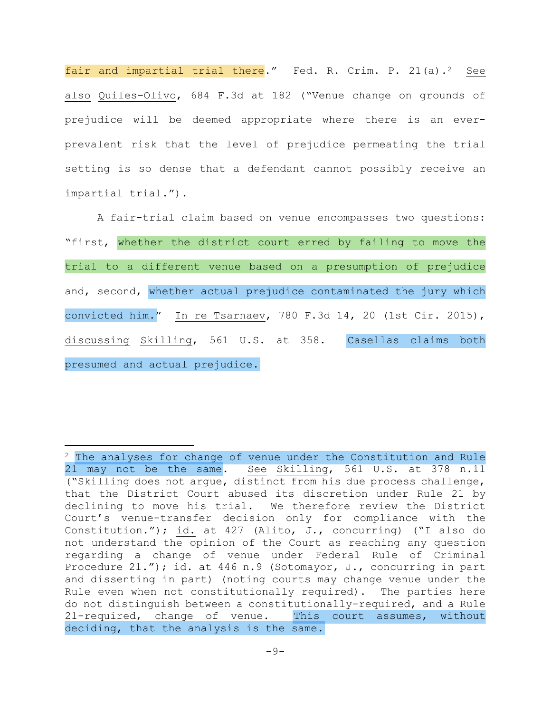fair and impartial trial there." Fed. R. Crim. P. 21(a).<sup>2</sup> See also Quiles-Olivo, 684 F.3d at 182 ("Venue change on grounds of prejudice will be deemed appropriate where there is an everprevalent risk that the level of prejudice permeating the trial setting is so dense that a defendant cannot possibly receive an impartial trial.").

A fair-trial claim based on venue encompasses two questions: "first, whether the district court erred by failing to move the trial to a different venue based on a presumption of prejudice and, second, whether actual prejudice contaminated the jury which convicted him." In re Tsarnaev, 780 F.3d 14, 20 (1st Cir. 2015), discussing Skilling, 561 U.S. at 358. Casellas claims both presumed and actual prejudice.

i<br>Li

<sup>&</sup>lt;sup>2</sup> The analyses for change of venue under the Constitution and Rule 21 may not be the same. See Skilling, 561 U.S. at 378 n.11 ("Skilling does not argue, distinct from his due process challenge, that the District Court abused its discretion under Rule 21 by declining to move his trial. We therefore review the District Court's venue-transfer decision only for compliance with the Constitution."); id. at 427 (Alito, J., concurring) ("I also do not understand the opinion of the Court as reaching any question regarding a change of venue under Federal Rule of Criminal Procedure 21."); id. at 446 n.9 (Sotomayor, J., concurring in part and dissenting in part) (noting courts may change venue under the Rule even when not constitutionally required). The parties here do not distinguish between a constitutionally-required, and a Rule 21-required, change of venue. This court assumes, without deciding, that the analysis is the same.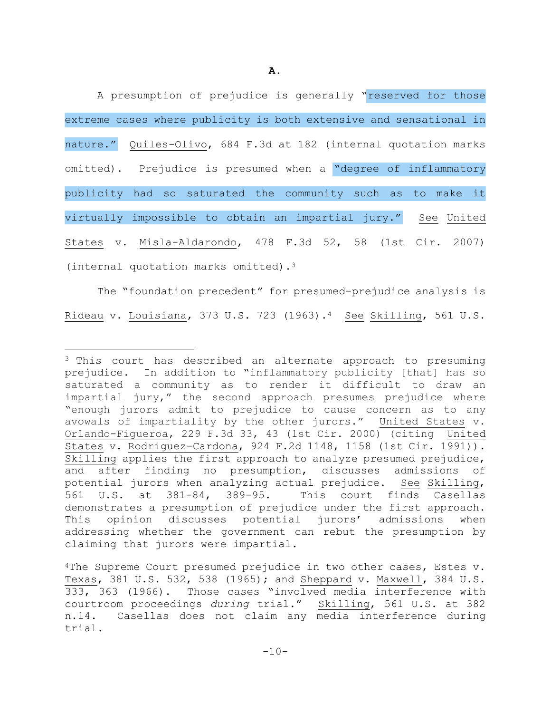A presumption of prejudice is generally "reserved for those extreme cases where publicity is both extensive and sensational in nature." Quiles-Olivo, 684 F.3d at 182 (internal quotation marks omitted). Prejudice is presumed when a "degree of inflammatory publicity had so saturated the community such as to make it virtually impossible to obtain an impartial jury." See United States v. Misla-Aldarondo, 478 F.3d 52, 58 (1st Cir. 2007) (internal quotation marks omitted).3

The "foundation precedent" for presumed-prejudice analysis is Rideau v. Louisiana, 373 U.S. 723 (1963).4 See Skilling, 561 U.S.

i

<sup>&</sup>lt;sup>3</sup> This court has described an alternate approach to presuming prejudice. In addition to "inflammatory publicity [that] has so saturated a community as to render it difficult to draw an impartial jury," the second approach presumes prejudice where "enough jurors admit to prejudice to cause concern as to any avowals of impartiality by the other jurors." United States v. Orlando-Figueroa, 229 F.3d 33, 43 (1st Cir. 2000) (citing United States v. Rodriguez-Cardona, 924 F.2d 1148, 1158 (1st Cir. 1991)). Skilling applies the first approach to analyze presumed prejudice, and after finding no presumption, discusses admissions of potential jurors when analyzing actual prejudice. See Skilling, 561 U.S. at 381-84, 389-95. This court finds Casellas demonstrates a presumption of prejudice under the first approach. This opinion discusses potential jurors' admissions when addressing whether the government can rebut the presumption by claiming that jurors were impartial.

<sup>4</sup>The Supreme Court presumed prejudice in two other cases, Estes v. Texas, 381 U.S. 532, 538 (1965); and Sheppard v. Maxwell, 384 U.S. 333, 363 (1966). Those cases "involved media interference with courtroom proceedings *during* trial." Skilling, 561 U.S. at 382 n.14. Casellas does not claim any media interference during trial.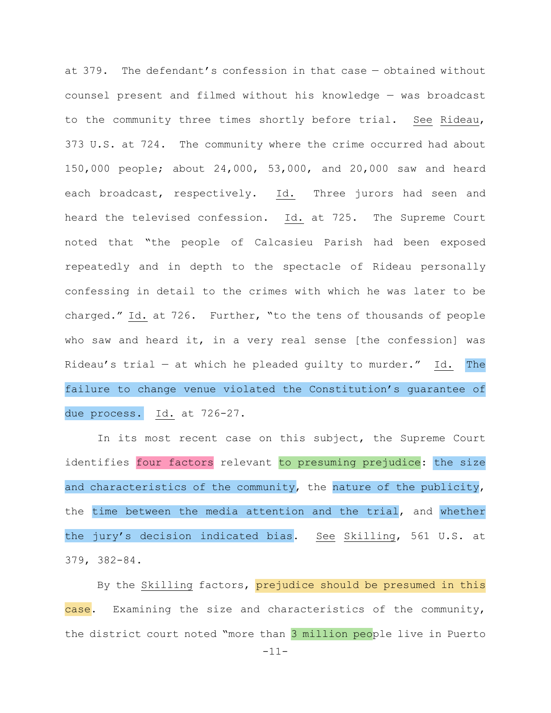at 379. The defendant's confession in that case — obtained without counsel present and filmed without his knowledge — was broadcast to the community three times shortly before trial. See Rideau, 373 U.S. at 724. The community where the crime occurred had about 150,000 people; about 24,000, 53,000, and 20,000 saw and heard each broadcast, respectively. Id. Three jurors had seen and heard the televised confession. Id. at 725. The Supreme Court noted that "the people of Calcasieu Parish had been exposed repeatedly and in depth to the spectacle of Rideau personally confessing in detail to the crimes with which he was later to be charged." Id. at 726. Further, "to the tens of thousands of people who saw and heard it, in a very real sense [the confession] was Rideau's trial — at which he pleaded guilty to murder." Id. The failure to change venue violated the Constitution's guarantee of due process. Id. at 726-27.

In its most recent case on this subject, the Supreme Court identifies four factors relevant to presuming prejudice: the size and characteristics of the community, the nature of the publicity, the time between the media attention and the trial, and whether the jury's decision indicated bias. See Skilling, 561 U.S. at 379, 382-84.

By the Skilling factors, prejudice should be presumed in this case. Examining the size and characteristics of the community, the district court noted "more than 3 million people live in Puerto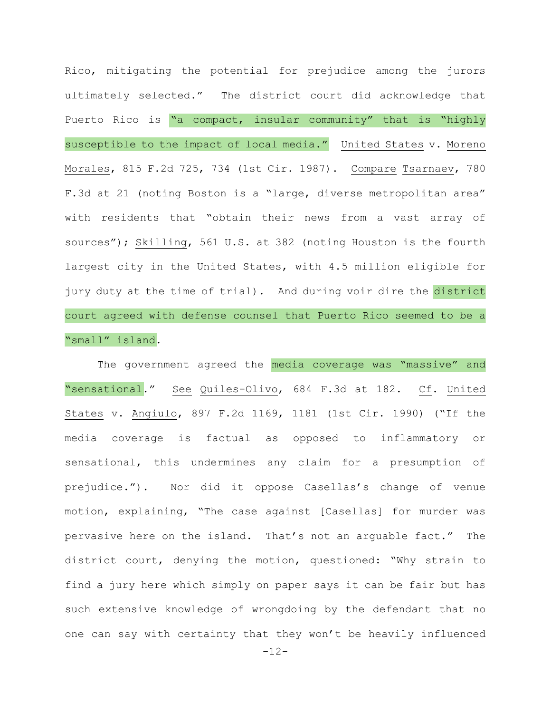Rico, mitigating the potential for prejudice among the jurors ultimately selected." The district court did acknowledge that Puerto Rico is "a compact, insular community" that is "highly susceptible to the impact of local media." United States v. Moreno Morales, 815 F.2d 725, 734 (1st Cir. 1987). Compare Tsarnaev, 780 F.3d at 21 (noting Boston is a "large, diverse metropolitan area" with residents that "obtain their news from a vast array of sources"); Skilling, 561 U.S. at 382 (noting Houston is the fourth largest city in the United States, with 4.5 million eligible for jury duty at the time of trial). And during voir dire the district court agreed with defense counsel that Puerto Rico seemed to be a "small" island.

The government agreed the media coverage was "massive" and "sensational." See Quiles-Olivo, 684 F.3d at 182. Cf. United States v. Angiulo, 897 F.2d 1169, 1181 (1st Cir. 1990) ("If the media coverage is factual as opposed to inflammatory or sensational, this undermines any claim for a presumption of prejudice."). Nor did it oppose Casellas's change of venue motion, explaining, "The case against [Casellas] for murder was pervasive here on the island. That's not an arguable fact." The district court, denying the motion, questioned: "Why strain to find a jury here which simply on paper says it can be fair but has such extensive knowledge of wrongdoing by the defendant that no one can say with certainty that they won't be heavily influenced

-12-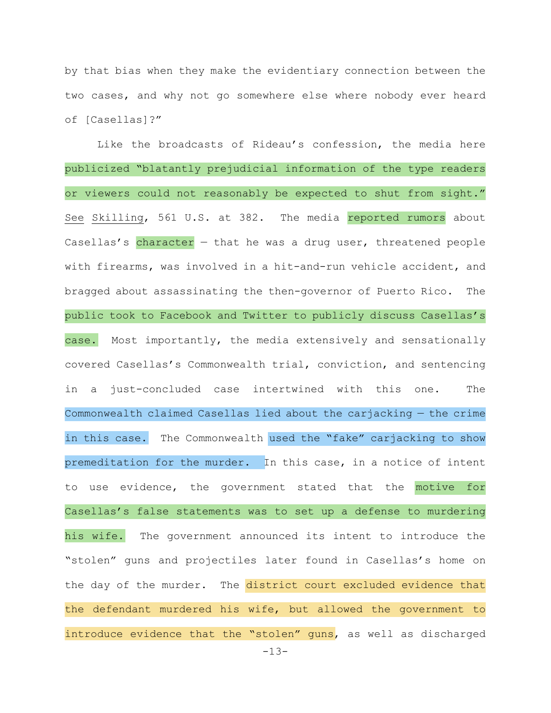by that bias when they make the evidentiary connection between the two cases, and why not go somewhere else where nobody ever heard of [Casellas]?"

Like the broadcasts of Rideau's confession, the media here publicized "blatantly prejudicial information of the type readers or viewers could not reasonably be expected to shut from sight." See Skilling, 561 U.S. at 382. The media reported rumors about Casellas's character  $-$  that he was a drug user, threatened people with firearms, was involved in a hit-and-run vehicle accident, and bragged about assassinating the then-governor of Puerto Rico. The public took to Facebook and Twitter to publicly discuss Casellas's case. Most importantly, the media extensively and sensationally covered Casellas's Commonwealth trial, conviction, and sentencing in a just-concluded case intertwined with this one. The Commonwealth claimed Casellas lied about the carjacking — the crime in this case. The Commonwealth used the "fake" carjacking to show premeditation for the murder. In this case, in a notice of intent to use evidence, the government stated that the motive for Casellas's false statements was to set up a defense to murdering his wife. The government announced its intent to introduce the "stolen" guns and projectiles later found in Casellas's home on the day of the murder. The district court excluded evidence that the defendant murdered his wife, but allowed the government to introduce evidence that the "stolen" quns, as well as discharged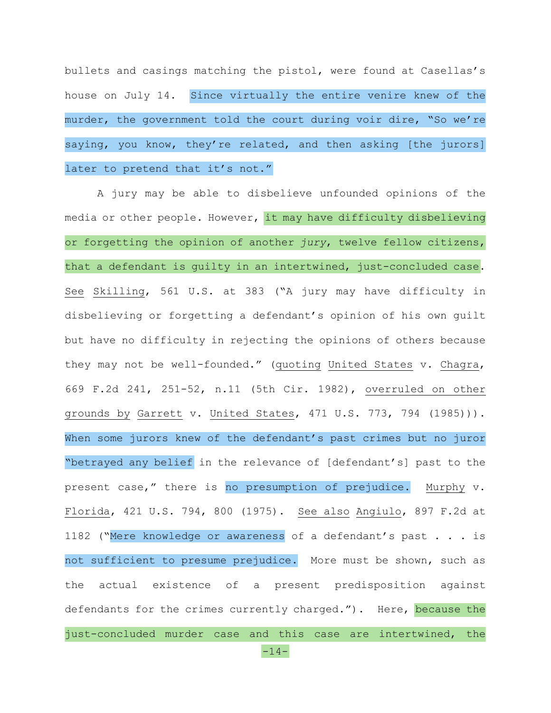bullets and casings matching the pistol, were found at Casellas's house on July 14. Since virtually the entire venire knew of the murder, the government told the court during voir dire, "So we're saying, you know, they're related, and then asking [the jurors] later to pretend that it's not."

A jury may be able to disbelieve unfounded opinions of the media or other people. However, it may have difficulty disbelieving or forgetting the opinion of another *jury*, twelve fellow citizens, that a defendant is guilty in an intertwined, just-concluded case. See Skilling, 561 U.S. at 383 ("A jury may have difficulty in disbelieving or forgetting a defendant's opinion of his own guilt but have no difficulty in rejecting the opinions of others because they may not be well-founded." (quoting United States v. Chagra, 669 F.2d 241, 251-52, n.11 (5th Cir. 1982), overruled on other grounds by Garrett v. United States, 471 U.S. 773, 794 (1985))). When some jurors knew of the defendant's past crimes but no juror "betrayed any belief in the relevance of [defendant's] past to the present case," there is no presumption of prejudice. Murphy v. Florida, 421 U.S. 794, 800 (1975). See also Angiulo, 897 F.2d at 1182 ("Mere knowledge or awareness of a defendant's past . . . is not sufficient to presume prejudice. More must be shown, such as the actual existence of a present predisposition against defendants for the crimes currently charged."). Here, because the just-concluded murder case and this case are intertwined, the

-14-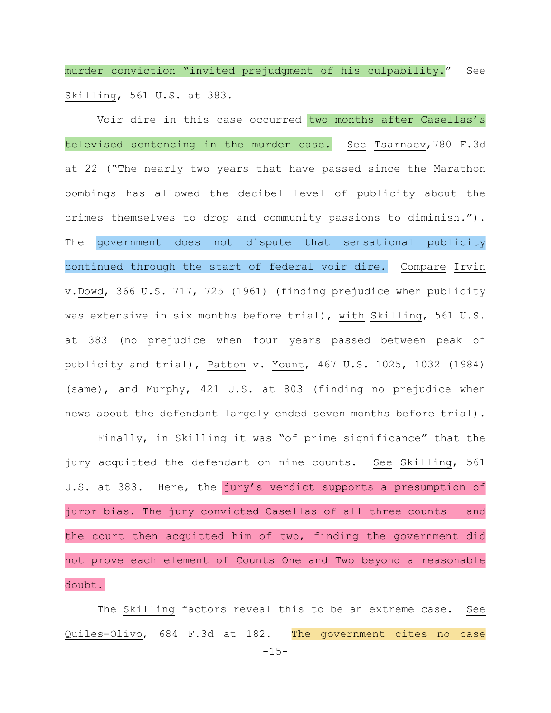murder conviction "invited prejudgment of his culpability." See Skilling, 561 U.S. at 383.

Voir dire in this case occurred two months after Casellas's televised sentencing in the murder case. See Tsarnaev,780 F.3d at 22 ("The nearly two years that have passed since the Marathon bombings has allowed the decibel level of publicity about the crimes themselves to drop and community passions to diminish."). The government does not dispute that sensational publicity continued through the start of federal voir dire. Compare Irvin v.Dowd, 366 U.S. 717, 725 (1961) (finding prejudice when publicity was extensive in six months before trial), with Skilling, 561 U.S. at 383 (no prejudice when four years passed between peak of publicity and trial), Patton v. Yount, 467 U.S. 1025, 1032 (1984) (same), and Murphy, 421 U.S. at 803 (finding no prejudice when news about the defendant largely ended seven months before trial).

Finally, in Skilling it was "of prime significance" that the jury acquitted the defendant on nine counts. See Skilling, 561 U.S. at 383. Here, the jury's verdict supports a presumption of juror bias. The jury convicted Casellas of all three counts — and the court then acquitted him of two, finding the government did not prove each element of Counts One and Two beyond a reasonable doubt.

The Skilling factors reveal this to be an extreme case. See Quiles-Olivo, 684 F.3d at 182. The government cites no case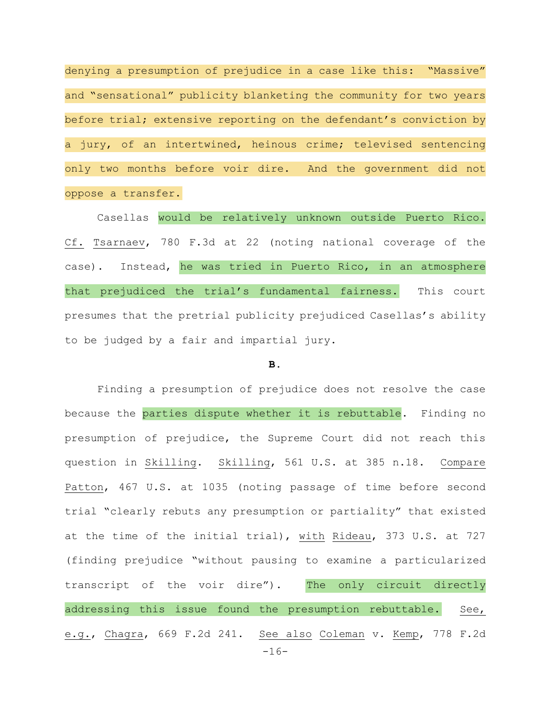denying a presumption of prejudice in a case like this: "Massive" and "sensational" publicity blanketing the community for two years before trial; extensive reporting on the defendant's conviction by a jury, of an intertwined, heinous crime; televised sentencing only two months before voir dire. And the government did not oppose a transfer.

Casellas would be relatively unknown outside Puerto Rico. Cf. Tsarnaev, 780 F.3d at 22 (noting national coverage of the case). Instead, he was tried in Puerto Rico, in an atmosphere that prejudiced the trial's fundamental fairness. This court presumes that the pretrial publicity prejudiced Casellas's ability to be judged by a fair and impartial jury.

# **B.**

 $-16-$ Finding a presumption of prejudice does not resolve the case because the parties dispute whether it is rebuttable. Finding no presumption of prejudice, the Supreme Court did not reach this question in Skilling. Skilling, 561 U.S. at 385 n.18. Compare Patton, 467 U.S. at 1035 (noting passage of time before second trial "clearly rebuts any presumption or partiality" that existed at the time of the initial trial), with Rideau, 373 U.S. at 727 (finding prejudice "without pausing to examine a particularized transcript of the voir dire"). The only circuit directly addressing this issue found the presumption rebuttable. See, e.g., Chagra, 669 F.2d 241. See also Coleman v. Kemp, 778 F.2d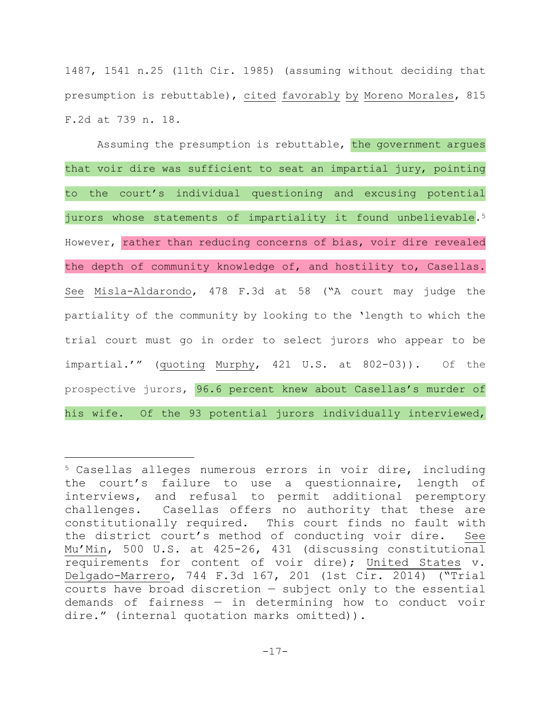1487, 1541 n.25 (11th Cir. 1985) (assuming without deciding that presumption is rebuttable), cited favorably by Moreno Morales, 815 F.2d at 739 n. 18.

Assuming the presumption is rebuttable, the government argues that voir dire was sufficient to seat an impartial jury, pointing to the court's individual questioning and excusing potential jurors whose statements of impartiality it found unbelievable.<sup>5</sup> However, rather than reducing concerns of bias, voir dire revealed the depth of community knowledge of, and hostility to, Casellas. See Misla-Aldarondo, 478 F.3d at 58 ("A court may judge the partiality of the community by looking to the 'length to which the trial court must go in order to select jurors who appear to be impartial.'" (quoting Murphy, 421 U.S. at 802-03)). Of the prospective jurors, 96.6 percent knew about Casellas's murder of his wife. Of the 93 potential jurors individually interviewed,

i

<sup>5</sup> Casellas alleges numerous errors in voir dire, including the court's failure to use a questionnaire, length of interviews, and refusal to permit additional peremptory challenges. Casellas offers no authority that these are constitutionally required. This court finds no fault with the district court's method of conducting voir dire. See Mu'Min, 500 U.S. at 425-26, 431 (discussing constitutional requirements for content of voir dire); United States v. Delgado-Marrero, 744 F.3d 167, 201 (1st Cir. 2014) ("Trial courts have broad discretion — subject only to the essential demands of fairness — in determining how to conduct voir dire." (internal quotation marks omitted)).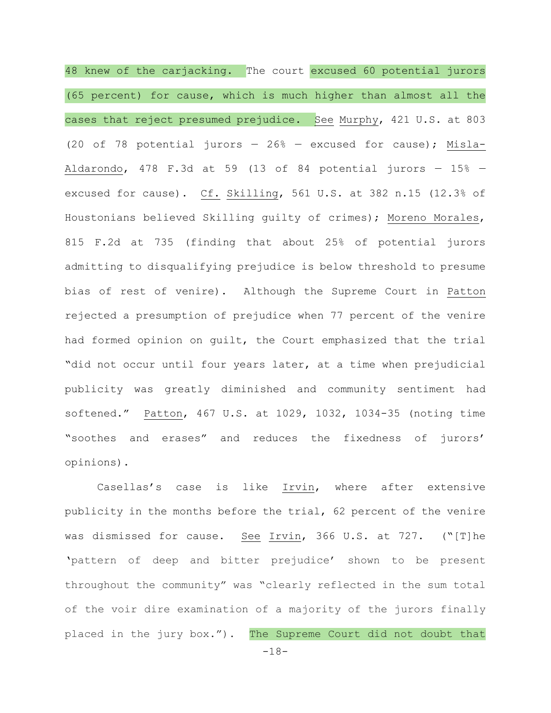48 knew of the carjacking. The court excused 60 potential jurors (65 percent) for cause, which is much higher than almost all the cases that reject presumed prejudice. See Murphy, 421 U.S. at 803 (20 of 78 potential jurors — 26% — excused for cause); Misla-Aldarondo, 478 F.3d at 59 (13 of 84 potential jurors  $-$  15%  $$ excused for cause). Cf. Skilling, 561 U.S. at 382 n.15 (12.3% of Houstonians believed Skilling guilty of crimes); Moreno Morales, 815 F.2d at 735 (finding that about 25% of potential jurors admitting to disqualifying prejudice is below threshold to presume bias of rest of venire). Although the Supreme Court in Patton rejected a presumption of prejudice when 77 percent of the venire had formed opinion on guilt, the Court emphasized that the trial "did not occur until four years later, at a time when prejudicial publicity was greatly diminished and community sentiment had softened." Patton, 467 U.S. at 1029, 1032, 1034-35 (noting time "soothes and erases" and reduces the fixedness of jurors' opinions).

Casellas's case is like Irvin, where after extensive publicity in the months before the trial, 62 percent of the venire was dismissed for cause. See Irvin, 366 U.S. at 727. ("[T]he 'pattern of deep and bitter prejudice' shown to be present throughout the community" was "clearly reflected in the sum total of the voir dire examination of a majority of the jurors finally placed in the jury box."). The Supreme Court did not doubt that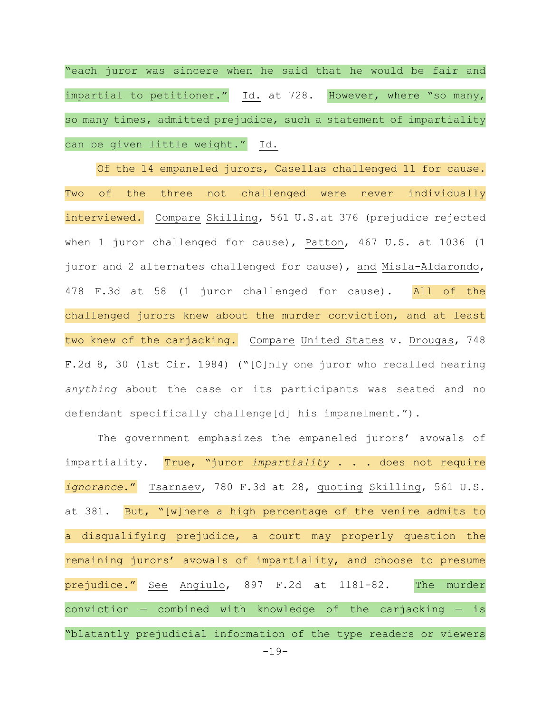"each juror was sincere when he said that he would be fair and impartial to petitioner." Id. at 728. However, where "so many, so many times, admitted prejudice, such a statement of impartiality can be given little weight." Id.

Of the 14 empaneled jurors, Casellas challenged 11 for cause. Two of the three not challenged were never individually interviewed. Compare Skilling, 561 U.S.at 376 (prejudice rejected when 1 juror challenged for cause), Patton, 467 U.S. at 1036 (1 juror and 2 alternates challenged for cause), and Misla-Aldarondo, 478 F.3d at 58 (1 juror challenged for cause). All of the challenged jurors knew about the murder conviction, and at least two knew of the carjacking. Compare United States v. Drougas, 748 F.2d 8, 30 (1st Cir. 1984) ("[O]nly one juror who recalled hearing *anything* about the case or its participants was seated and no defendant specifically challenge[d] his impanelment.").

The government emphasizes the empaneled jurors' avowals of impartiality. True, "juror *impartiality* . . . does not require *ignorance*." Tsarnaev, 780 F.3d at 28, quoting Skilling, 561 U.S. at 381. But, "[w]here a high percentage of the venire admits to a disqualifying prejudice, a court may properly question the remaining jurors' avowals of impartiality, and choose to presume prejudice." See Angiulo, 897 F.2d at 1181-82. The murder conviction  $-$  combined with knowledge of the carjacking  $-$  is "blatantly prejudicial information of the type readers or viewers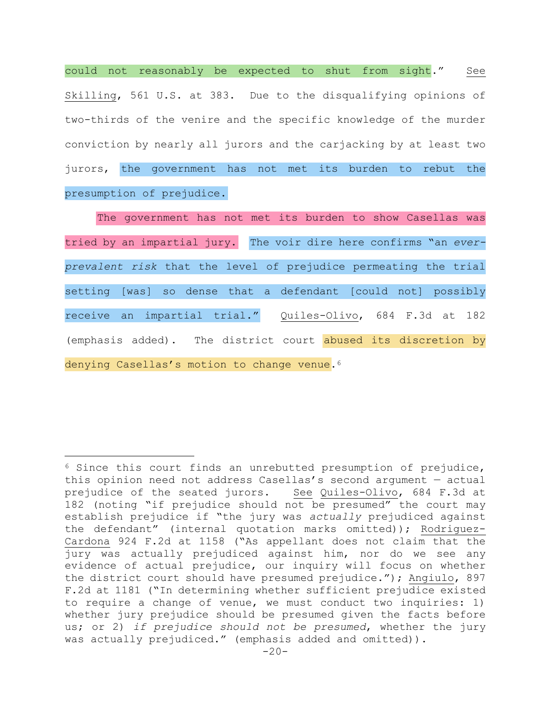could not reasonably be expected to shut from sight." See Skilling, 561 U.S. at 383. Due to the disqualifying opinions of two-thirds of the venire and the specific knowledge of the murder conviction by nearly all jurors and the carjacking by at least two jurors, the government has not met its burden to rebut the presumption of prejudice.

The government has not met its burden to show Casellas was tried by an impartial jury. The voir dire here confirms "an *everprevalent risk* that the level of prejudice permeating the trial setting [was] so dense that a defendant [could not] possibly receive an impartial trial." Quiles-Olivo, 684 F.3d at 182 (emphasis added). The district court abused its discretion by denying Casellas's motion to change venue.<sup>6</sup>

i<br>Li

<sup>6</sup> Since this court finds an unrebutted presumption of prejudice, this opinion need not address Casellas's second argument — actual prejudice of the seated jurors. See Quiles-Olivo, 684 F.3d at 182 (noting "if prejudice should not be presumed" the court may establish prejudice if "the jury was *actually* prejudiced against the defendant" (internal quotation marks omitted)); Rodriguez-Cardona 924 F.2d at 1158 ("As appellant does not claim that the jury was actually prejudiced against him, nor do we see any evidence of actual prejudice, our inquiry will focus on whether the district court should have presumed prejudice."); Angiulo, 897 F.2d at 1181 ("In determining whether sufficient prejudice existed to require a change of venue, we must conduct two inquiries: 1) whether jury prejudice should be presumed given the facts before us; or 2) *if prejudice should not be presumed*, whether the jury was actually prejudiced." (emphasis added and omitted)).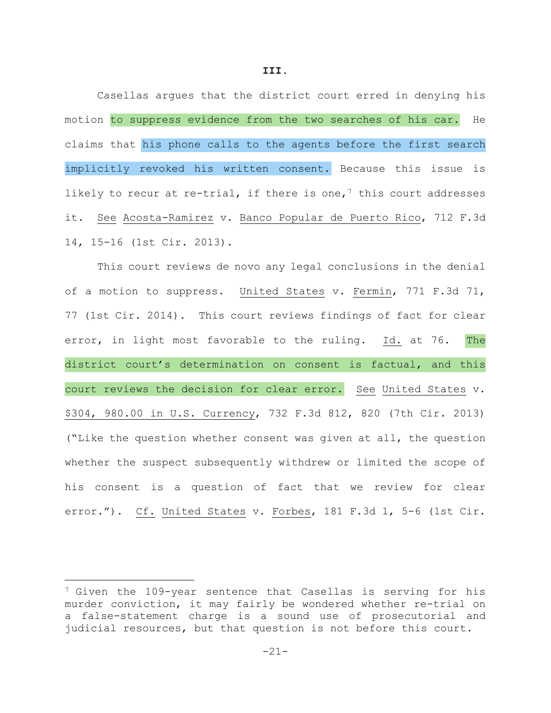Casellas argues that the district court erred in denying his motion to suppress evidence from the two searches of his car. He claims that his phone calls to the agents before the first search implicitly revoked his written consent. Because this issue is likely to recur at re-trial, if there is one,<sup>7</sup> this court addresses it. See Acosta-Ramirez v. Banco Popular de Puerto Rico, 712 F.3d 14, 15-16 (1st Cir. 2013).

This court reviews de novo any legal conclusions in the denial of a motion to suppress. United States v. Fermin, 771 F.3d 71, 77 (1st Cir. 2014). This court reviews findings of fact for clear error, in light most favorable to the ruling. Id. at 76. The district court's determination on consent is factual, and this court reviews the decision for clear error. See United States v. \$304, 980.00 in U.S. Currency, 732 F.3d 812, 820 (7th Cir. 2013) ("Like the question whether consent was given at all, the question whether the suspect subsequently withdrew or limited the scope of his consent is a question of fact that we review for clear error."). Cf. United States v. Forbes, 181 F.3d 1, 5-6 (1st Cir.

i<br>Li

<sup>&</sup>lt;sup>7</sup> Given the 109-year sentence that Casellas is serving for his murder conviction, it may fairly be wondered whether re-trial on a false-statement charge is a sound use of prosecutorial and judicial resources, but that question is not before this court.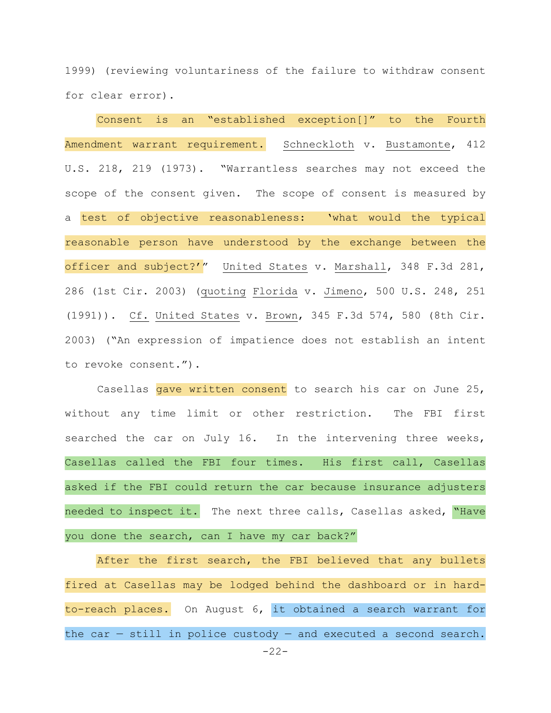1999) (reviewing voluntariness of the failure to withdraw consent for clear error).

Consent is an "established exception[]" to the Fourth Amendment warrant requirement. Schneckloth v. Bustamonte, 412 U.S. 218, 219 (1973). "Warrantless searches may not exceed the scope of the consent given. The scope of consent is measured by a test of objective reasonableness: 'what would the typical reasonable person have understood by the exchange between the officer and subject?" United States v. Marshall, 348 F.3d 281, 286 (1st Cir. 2003) (quoting Florida v. Jimeno, 500 U.S. 248, 251 (1991)). Cf. United States v. Brown, 345 F.3d 574, 580 (8th Cir. 2003) ("An expression of impatience does not establish an intent to revoke consent.").

Casellas gave written consent to search his car on June 25, without any time limit or other restriction. The FBI first searched the car on July 16. In the intervening three weeks, Casellas called the FBI four times. His first call, Casellas asked if the FBI could return the car because insurance adjusters needed to inspect it. The next three calls, Casellas asked, "Have you done the search, can I have my car back?"

After the first search, the FBI believed that any bullets fired at Casellas may be lodged behind the dashboard or in hardto-reach places. On August 6, it obtained a search warrant for the car  $-$  still in police custody  $-$  and executed a second search.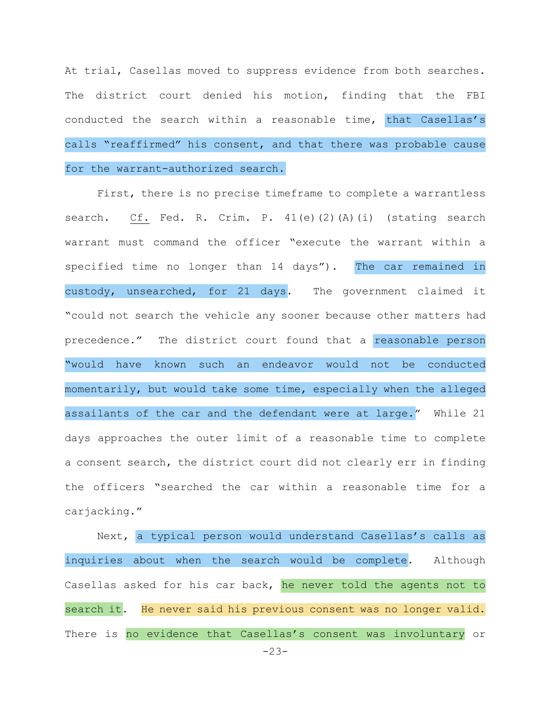At trial, Casellas moved to suppress evidence from both searches. The district court denied his motion, finding that the FBI conducted the search within a reasonable time, that Casellas's calls "reaffirmed" his consent, and that there was probable cause for the warrant-authorized search.

First, there is no precise timeframe to complete a warrantless search. Cf. Fed. R. Crim. P. 41(e)(2)(A)(i) (stating search warrant must command the officer "execute the warrant within a specified time no longer than 14 days"). The car remained in custody, unsearched, for 21 days. The government claimed it "could not search the vehicle any sooner because other matters had precedence." The district court found that a reasonable person "would have known such an endeavor would not be conducted momentarily, but would take some time, especially when the alleged assailants of the car and the defendant were at large." While 21 days approaches the outer limit of a reasonable time to complete a consent search, the district court did not clearly err in finding the officers "searched the car within a reasonable time for a carjacking."

Next, a typical person would understand Casellas's calls as inquiries about when the search would be complete. Although Casellas asked for his car back, he never told the agents not to search it. He never said his previous consent was no longer valid. There is no evidence that Casellas's consent was involuntary or